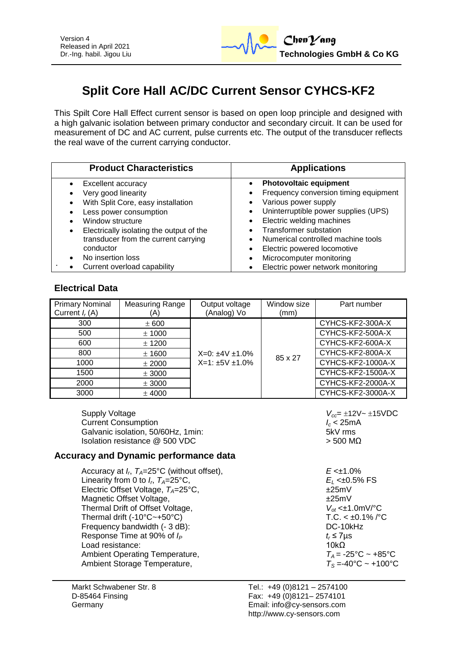

# **Split Core Hall AC/DC Current Sensor CYHCS-KF2**

This Spilt Core Hall Effect current sensor is based on open loop principle and designed with a high galvanic isolation between primary conductor and secondary circuit. It can be used for measurement of DC and AC current, pulse currents etc. The output of the transducer reflects the real wave of the current carrying conductor.

| <b>Product Characteristics</b>                | <b>Applications</b>                               |  |  |
|-----------------------------------------------|---------------------------------------------------|--|--|
| Excellent accuracy                            | <b>Photovoltaic equipment</b>                     |  |  |
| Very good linearity                           | Frequency conversion timing equipment<br>٠        |  |  |
| With Split Core, easy installation            | Various power supply<br>٠                         |  |  |
| Less power consumption                        | Uninterruptible power supplies (UPS)<br>$\bullet$ |  |  |
| Window structure                              | Electric welding machines<br>$\bullet$            |  |  |
| Electrically isolating the output of the<br>٠ | <b>Transformer substation</b>                     |  |  |
| transducer from the current carrying          | Numerical controlled machine tools                |  |  |
| conductor                                     | Electric powered locomotive<br>٠                  |  |  |
| No insertion loss                             | Microcomputer monitoring<br>$\bullet$             |  |  |
| Current overload capability                   | Electric power network monitoring                 |  |  |

## **Electrical Data**

| <b>Primary Nominal</b><br>Current $I_r(A)$ | Measuring Range<br>A) | Output voltage<br>(Analog) Vo | Window size<br>(mm) | Part number       |
|--------------------------------------------|-----------------------|-------------------------------|---------------------|-------------------|
| 300                                        | ± 600                 |                               |                     | CYHCS-KF2-300A-X  |
| 500                                        | ± 1000                |                               |                     | CYHCS-KF2-500A-X  |
| 600                                        | $±$ 1200              | $X=0: \pm 4V \pm 1.0\%$       |                     | CYHCS-KF2-600A-X  |
| 800                                        | $±$ 1600              |                               |                     | CYHCS-KF2-800A-X  |
| 1000                                       | ± 2000                | $X=1:±5V±1.0%$                | 85 x 27             | CYHCS-KF2-1000A-X |
| 1500                                       | ± 3000                |                               |                     | CYHCS-KF2-1500A-X |
| 2000                                       | ± 3000                |                               |                     | CYHCS-KF2-2000A-X |
| 3000                                       | $±$ 4000              |                               |                     | CYHCS-KF2-3000A-X |

Supply Voltage *V<sub>cc</sub>***=**  $\pm$ **12V~**  $\pm$ **15VDC** Current Consumption<br>
Galvanic isolation, 50/60Hz, 1min:<br>
Galvanic isolation, 50/60Hz, 1min:<br> **I** Galvanic isolation, 50/60Hz, 1min: Isolation resistance  $\textcircled{a}$  500 VDC  $\textcircled{b}$  500 MΩ

#### **Accuracy and Dynamic performance data**

Accuracy at *I<sup>r</sup>* , *TA*=25°C (without offset), *E* <±1.0% Linearity from 0 to  $I_r$ ,  $T_A = 25^\circ \text{C}$ , Electric Offset Voltage,  $T_A = 25^{\circ}$ C,  $\pm 25$ mV<br>Magnetic Offset Voltage,  $\pm 25$ mV Magnetic Offset Voltage, Thermal Drift of Offset Voltage,<br>
Thermal drift (-10°C~+50°C)<br>
T.C. < ±0.1% /°C Thermal drift  $(-10^{\circ}C - +50^{\circ}C)$ Frequency bandwidth (- 3 dB): DC-10kHz Response Time at 90% of  $I_P$  **t**<sub>r</sub> ≤ 7 µs <br>Load resistance: 10kQ Load resistance: Ambient Operating Temperature,  $T_A = -25^{\circ}\text{C} \sim +85^{\circ}\text{C}$ <br>Ambient Storage Temperature,  $T_S = -40^{\circ}\text{C} \sim +100^{\circ}\text{C}$ Ambient Storage Temperature,

, *TA*=25°C, *E<sup>L</sup>* <±0.5% FS